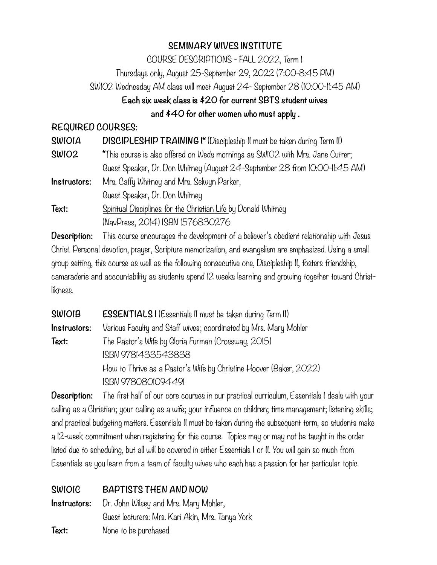### **SEMINARY WIVES INSTITUTE**

COURSE DESCRIPTIONS - FALL 2022, Term I

Thursdays only, August 25-September 29, 2022 (7:00-8:45 PM)

SW102 Wednesday AM class will meet August 24- September 28 (10:00-11:45 AM)

## **Each six week class is \$20 for current SBTS student wives**

 **and \$40 for other women who must apply .**

### **REQUIRED COURSES:**

| <b>SWIOIA</b> | DISCIPLESHIP TRAINING I* (Discipleship II must be taken during Term II)       |
|---------------|-------------------------------------------------------------------------------|
| <b>SWIO2</b>  | *This course is also offered on Weds mornings as SW102 with Mrs. Jane Cutrer; |
|               | Guest Speaker, Dr. Don Whitney (August 24-September 28 from IO:OO-II:45 AM)   |
| Instructors:  | Mrs. Caffy Whitney and Mrs. Selwyn Parker,                                    |
|               | Guest Speaker, Dr. Don Whitney                                                |
| Text:         | Spiritual Disciplines for the Christian Life by Donald Whitney                |
|               | (NavPress, 2014) ISBN 1576830276                                              |

**Description:** This course encourages the development of a believer's obedient relationship with Jesus Christ. Personal devotion, prayer, Scripture memorization, and evangelism are emphasized. Using a small group setting, this course as well as the following consecutive one, Discipleship II, fosters friendship, camaraderie and accountability as students spend 12 weeks learning and growing together toward Christlikness.

| <b>SWIOIB</b> | <b>ESSENTIALSI</b> (Essentials II must be taken during Term II)    |
|---------------|--------------------------------------------------------------------|
| Instructors:  | Various Faculty and Staff wives; coordinated by Mrs. Mary Mohler   |
| Text:         | The Pastor's Wife by Gloria Furman (Crossway, 2015)                |
|               | ISBN 9781433543838                                                 |
|               | How to Thrive as a Pastor's Wife by Christine Hoover (Baker, 2022) |
|               | ISBN 9780801094491                                                 |

**Description:** The first half of our core courses in our practical curriculum, Essentials I deals with your calling as a Christian; your calling as a wife; your influence on children; time management; listening skills; and practical budgeting matters. Essentials II must be taken during the subsequent term, so students make a 12-week commitment when registering for this course. Topics may or may not be taught in the order listed due to scheduling, but all will be covered in either Essentials I or II. You will gain so much from Essentials as you learn from a team of faculty wives who each has a passion for her particular topic.

# **SW101C BAPTISTS THEN AND NOW**

**Instructors:** Dr. John Wilsey and Mrs. Mary Mohler, Guest lecturers: Mrs. Kari Akin, Mrs. Tanya York **Text:** None to be purchased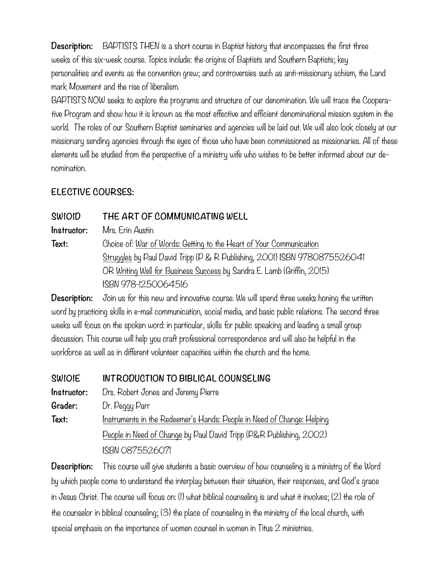**Description:** BAPTISTS THEN is a short course in Baptist history that encompasses the first three weeks of this six-week course. Topics include: the origins of Baptists and Southern Baptists; key personalities and events as the convention grew; and controversies such as anti-missionary schism, the Land mark Movement and the rise of liberalism.

BAPTISTS NOW seeks to explore the programs and structure of our denomination. We will trace the Cooperative Program and show how it is known as the most effective and efficient denominational mission system in the world. The roles of our Southern Baptist seminaries and agencies will be laid out. We will also look closely at our missionary sending agencies through the eyes of those who have been commissioned as missionaries. All of these elements will be studied from the perspective of a ministry wife who wishes to be better informed about our denomination.

# **ELECTIVE COURSES:**

**SW101D THE ART OF COMMUNICATING WELL Instructor:** Mrs. Erin Austin Text: Choice of: War of Words: Getting to the Heart of Your Communication Struggles by Paul David Tripp (P & R Publishing, 2001) ISBN 9780875526041 OR Writing Well for Business Success by Sandra E. Lamb (Griffin, 2015) ISBN 978-1250064516

**Description:** Join us for this new and innovative course. We will spend three weeks honing the written word by practicing skills in e-mail communication, social media, and basic public relations. The second three weeks will focus on the spoken word: in particular, skills for public speaking and leading a small group discussion. This course will help you craft professional correspondence and will also be helpful in the workforce as well as in different volunteer capacities within the church and the home.

**SW101E INTRODUCTION TO BIBLICAL COUNSELING Instructor:** Drs. Robert Jones and Jeremy Pierre **Grader:** Dr. Peggy Parr **Text:** Instruments in the Redeemer's Hands: People in Need of Change: Helping People in Need of Change by Paul David Tripp (P&R Publishing, 2002) ISBN 0875526071

**Description:** This course will give students a basic overview of how counseling is a ministry of the Word by which people come to understand the interplay between their situation, their responses, and God's grace in Jesus Christ. The course will focus on: (1) what biblical counseling is and what it involves; (2) the role of the counselor in biblical counseling; (3) the place of counseling in the ministry of the local church, with special emphasis on the importance of women counsel in women in Titus 2 ministries.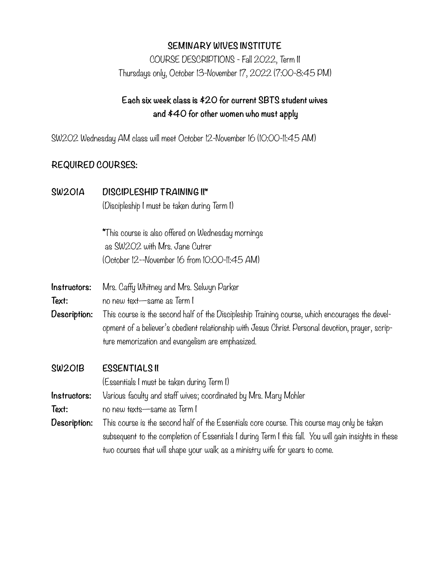#### **SEMINARY WIVES INSTITUTE**

COURSE DESCRIPTIONS - Fall 2022, Term II Thursdays only, October 13-November 17, 2022 (7:00-8:45 PM)

## **Each six week class is \$20 for current SBTS student wives and \$40 for other women who must apply**

SW202 Wednesday AM class will meet October 12-November 16 (10:00-11:45 AM)

#### **REQUIRED COURSES:**

#### **SW201A DISCIPLESHIP TRAINING II\***

(Discipleship I must be taken during Term I)

\*This course is also offered on Wednesday mornings as SW202 with Mrs. Jane Cutrer (October 12--November 16 from 10:00-11:45 AM)

**Instructors:** Mrs. Caffy Whitney and Mrs. Selwyn Parker

**Text:** no new text—same as Term I

**Description:** This course is the second half of the Discipleship Training course, which encourages the development of a believer's obedient relationship with Jesus Christ. Personal devotion, prayer, scripture memorization and evangelism are emphasized.

#### **SW201B ESSENTIALS II**

(Essentials I must be taken during Term I)

**Instructors:** Various faculty and staff wives; coordinated by Mrs. Mary Mohler

**Text:** no new texts—same as Term I

**Description:** This course is the second half of the Essentials core course. This course may only be taken subsequent to the completion of Essentials I during Term I this fall. You will gain insights in these two courses that will shape your walk as a ministry wife for years to come.